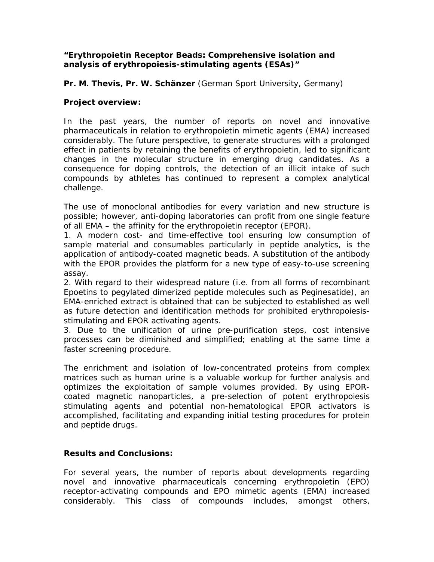## *"Erythropoietin Receptor Beads: Comprehensive isolation and analysis of erythropoiesis-stimulating agents (ESAs)"*

**Pr. M. Thevis, Pr. W. Schänzer** (German Sport University, Germany)

## **Project overview:**

In the past years, the number of reports on novel and innovative pharmaceuticals in relation to erythropoietin mimetic agents (EMA) increased considerably. The future perspective, to generate structures with a prolonged effect in patients by retaining the benefits of erythropoietin, led to significant changes in the molecular structure in emerging drug candidates. As a consequence for doping controls, the detection of an illicit intake of such compounds by athletes has continued to represent a complex analytical challenge.

The use of monoclonal antibodies for every variation and new structure is possible; however, anti-doping laboratories can profit from one single feature of all EMA – the affinity for the erythropoietin receptor (EPOR).

1. A modern cost- and time-effective tool ensuring low consumption of sample material and consumables particularly in peptide analytics, is the application of antibody-coated magnetic beads. A substitution of the antibody with the EPOR provides the platform for a new type of easy-to-use screening assay.

2. With regard to their widespread nature (i.e. from all forms of recombinant Epoetins to pegylated dimerized peptide molecules such as Peginesatide), an EMA-enriched extract is obtained that can be subjected to established as well as future detection and identification methods for prohibited erythropoiesisstimulating and EPOR activating agents.

3. Due to the unification of urine pre-purification steps, cost intensive processes can be diminished and simplified; enabling at the same time a faster screening procedure.

The enrichment and isolation of low-concentrated proteins from complex matrices such as human urine is a valuable workup for further analysis and optimizes the exploitation of sample volumes provided. By using EPORcoated magnetic nanoparticles, a pre-selection of potent erythropoiesis stimulating agents and potential non-hematological EPOR activators is accomplished, facilitating and expanding initial testing procedures for protein and peptide drugs.

## **Results and Conclusions:**

For several years, the number of reports about developments regarding novel and innovative pharmaceuticals concerning erythropoietin (EPO) receptor-activating compounds and EPO mimetic agents (EMA) increased considerably. This class of compounds includes, amongst others,